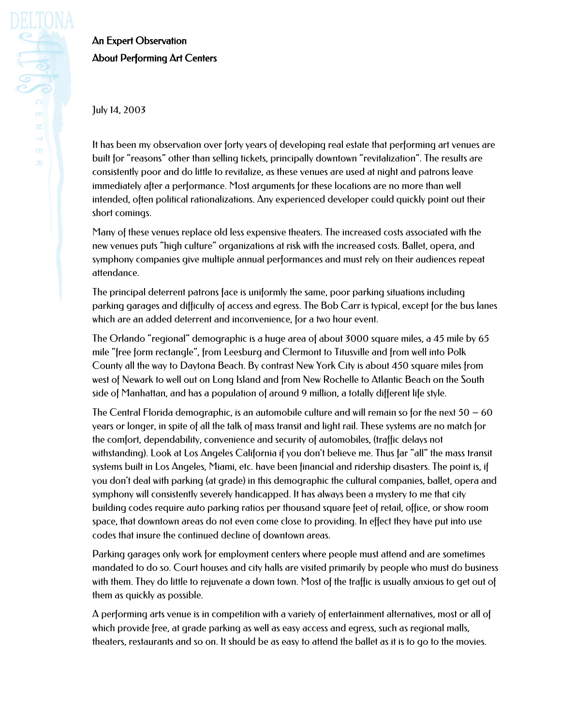## An Expert Observation About Performing Art Centers

July 14, 2003

It has been my observation over forty years of developing real estate that performing art venues are built for "reasons" other than selling tickets, principally downtown "revitalization". The results are consistently poor and do little to revitalize, as these venues are used at night and patrons leave immediately after a performance. Most arguments for these locations are no more than well intended, often political rationalizations. Any experienced developer could quickly point out their short comings.

Many of these venues replace old less expensive theaters. The increased costs associated with the new venues puts "high culture" organizations at risk with the increased costs. Ballet, opera, and symphony companies give multiple annual performances and must rely on their audiences repeat attendance.

The principal deterrent patrons face is uniformly the same, poor parking situations including parking garages and difficulty of access and egress. The Bob Carr is typical, except for the bus lanes which are an added deterrent and inconvenience, for a two hour event.

The Orlando "regional" demographic is a huge area of about 3000 square miles, a 45 mile by 65 mile "free form rectangle", from Leesburg and Clermont to Titusville and from well into Polk County all the way to Daytona Beach. By contrast New York City is about 450 square miles from west of Newark to well out on Long Island and from New Rochelle to Atlantic Beach on the South side of Manhattan, and has a population of around 9 million, a totally different life style.

The Central Florida demographic, is an automobile culture and will remain so for the next  $50 - 60$ years or longer, in spite of all the talk of mass transit and light rail. These systems are no match for the comfort, dependability, convenience and security of automobiles, (traffic delays not withstanding). Look at Los Angeles California if you don't believe me. Thus far "all" the mass transit systems built in Los Angeles, Miami, etc. have been financial and ridership disasters. The point is, if you don't deal with parking (at grade) in this demographic the cultural companies, ballet, opera and symphony will consistently severely handicapped. It has always been a mystery to me that city building codes require auto parking ratios per thousand square feet of retail, office, or show room space, that downtown areas do not even come close to providing. In effect they have put into use codes that insure the continued decline of downtown areas.

Parking garages only work for employment centers where people must attend and are sometimes mandated to do so. Court houses and city halls are visited primarily by people who must do business with them. They do little to rejuvenate a down town. Most of the traffic is usually anxious to get out of them as quickly as possible.

A performing arts venue is in competition with a variety of entertainment alternatives, most or all of which provide free, at grade parking as well as easy access and egress, such as regional malls, theaters, restaurants and so on. It should be as easy to attend the ballet as it is to go to the movies.